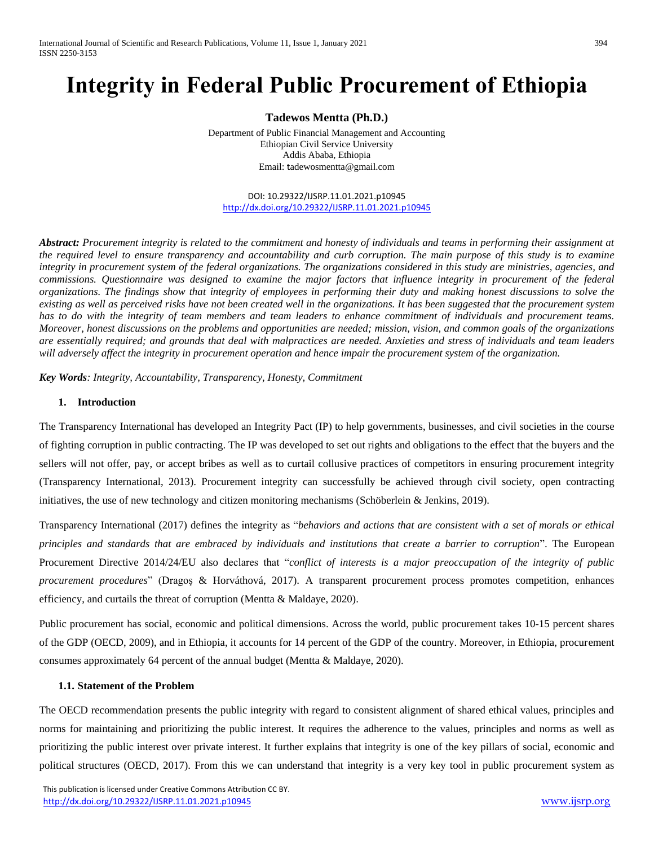# **Integrity in Federal Public Procurement of Ethiopia**

**Tadewos Mentta (Ph.D.)**

Department of Public Financial Management and Accounting Ethiopian Civil Service University Addis Ababa, Ethiopia Email: t[adewosmentta@gmail.com](mailto:tadewosmentta@gmail.com)

DOI: 10.29322/IJSRP.11.01.2021.p10945 <http://dx.doi.org/10.29322/IJSRP.11.01.2021.p10945>

*Abstract: Procurement integrity is related to the commitment and honesty of individuals and teams in performing their assignment at the required level to ensure transparency and accountability and curb corruption. The main purpose of this study is to examine integrity in procurement system of the federal organizations. The organizations considered in this study are ministries, agencies, and commissions. Questionnaire was designed to examine the major factors that influence integrity in procurement of the federal organizations. The findings show that integrity of employees in performing their duty and making honest discussions to solve the existing as well as perceived risks have not been created well in the organizations. It has been suggested that the procurement system has to do with the integrity of team members and team leaders to enhance commitment of individuals and procurement teams. Moreover, honest discussions on the problems and opportunities are needed; mission, vision, and common goals of the organizations are essentially required; and grounds that deal with malpractices are needed. Anxieties and stress of individuals and team leaders will adversely affect the integrity in procurement operation and hence impair the procurement system of the organization.* 

*Key Words: Integrity, Accountability, Transparency, Honesty, Commitment* 

#### **1. Introduction**

The Transparency International has developed an Integrity Pact (IP) to help governments, businesses, and civil societies in the course of fighting corruption in public contracting. The IP was developed to set out rights and obligations to the effect that the buyers and the sellers will not offer, pay, or accept bribes as well as to curtail collusive practices of competitors in ensuring procurement integrity (Transparency International, 2013). Procurement integrity can successfully be achieved through civil society, open contracting initiatives, the use of new technology and citizen monitoring mechanisms (Schöberlein & Jenkins, 2019).

Transparency International (2017) defines the integrity as "*behaviors and actions that are consistent with a set of morals or ethical principles and standards that are embraced by individuals and institutions that create a barrier to corruption*". The European Procurement Directive 2014/24/EU also declares that "*conflict of interests is a major preoccupation of the integrity of public procurement procedures*" (Dragoş & Horváthová, 2017). A transparent procurement process promotes competition, enhances efficiency, and curtails the threat of corruption (Mentta & Maldaye, 2020).

Public procurement has social, economic and political dimensions. Across the world, public procurement takes 10-15 percent shares of the GDP (OECD, 2009), and in Ethiopia, it accounts for 14 percent of the GDP of the country. Moreover, in Ethiopia, procurement consumes approximately 64 percent of the annual budget (Mentta & Maldaye, 2020).

#### **1.1. Statement of the Problem**

The OECD recommendation presents the public integrity with regard to consistent alignment of shared ethical values, principles and norms for maintaining and prioritizing the public interest. It requires the adherence to the values, principles and norms as well as prioritizing the public interest over private interest. It further explains that integrity is one of the key pillars of social, economic and political structures (OECD, 2017). From this we can understand that integrity is a very key tool in public procurement system as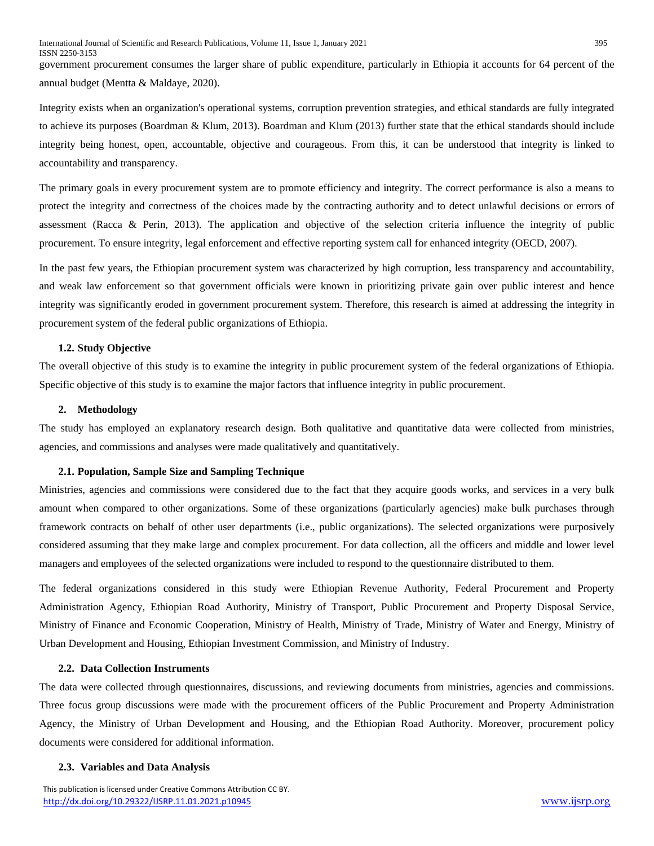government procurement consumes the larger share of public expenditure, particularly in Ethiopia it accounts for 64 percent of the annual budget (Mentta & Maldaye, 2020).

Integrity exists when an organization's operational systems, corruption prevention strategies, and ethical standards are fully integrated to achieve its purposes (Boardman & Klum, 2013). Boardman and Klum (2013) further state that the ethical standards should include integrity being honest, open, accountable, objective and courageous. From this, it can be understood that integrity is linked to accountability and transparency.

The primary goals in every procurement system are to promote efficiency and integrity. The correct performance is also a means to protect the integrity and correctness of the choices made by the contracting authority and to detect unlawful decisions or errors of assessment (Racca & Perin, 2013). The application and objective of the selection criteria influence the integrity of public procurement. To ensure integrity, legal enforcement and effective reporting system call for enhanced integrity (OECD, 2007).

In the past few years, the Ethiopian procurement system was characterized by high corruption, less transparency and accountability, and weak law enforcement so that government officials were known in prioritizing private gain over public interest and hence integrity was significantly eroded in government procurement system. Therefore, this research is aimed at addressing the integrity in procurement system of the federal public organizations of Ethiopia.

# **1.2. Study Objective**

The overall objective of this study is to examine the integrity in public procurement system of the federal organizations of Ethiopia. Specific objective of this study is to examine the major factors that influence integrity in public procurement.

## **2. Methodology**

The study has employed an explanatory research design. Both qualitative and quantitative data were collected from ministries, agencies, and commissions and analyses were made qualitatively and quantitatively.

## **2.1. Population, Sample Size and Sampling Technique**

Ministries, agencies and commissions were considered due to the fact that they acquire goods works, and services in a very bulk amount when compared to other organizations. Some of these organizations (particularly agencies) make bulk purchases through framework contracts on behalf of other user departments (i.e., public organizations). The selected organizations were purposively considered assuming that they make large and complex procurement. For data collection, all the officers and middle and lower level managers and employees of the selected organizations were included to respond to the questionnaire distributed to them.

The federal organizations considered in this study were Ethiopian Revenue Authority, Federal Procurement and Property Administration Agency, Ethiopian Road Authority, Ministry of Transport, Public Procurement and Property Disposal Service, Ministry of Finance and Economic Cooperation, Ministry of Health, Ministry of Trade, Ministry of Water and Energy, Ministry of Urban Development and Housing, Ethiopian Investment Commission, and Ministry of Industry.

## **2.2. Data Collection Instruments**

The data were collected through questionnaires, discussions, and reviewing documents from ministries, agencies and commissions. Three focus group discussions were made with the procurement officers of the Public Procurement and Property Administration Agency, the Ministry of Urban Development and Housing, and the Ethiopian Road Authority. Moreover, procurement policy documents were considered for additional information.

## **2.3. Variables and Data Analysis**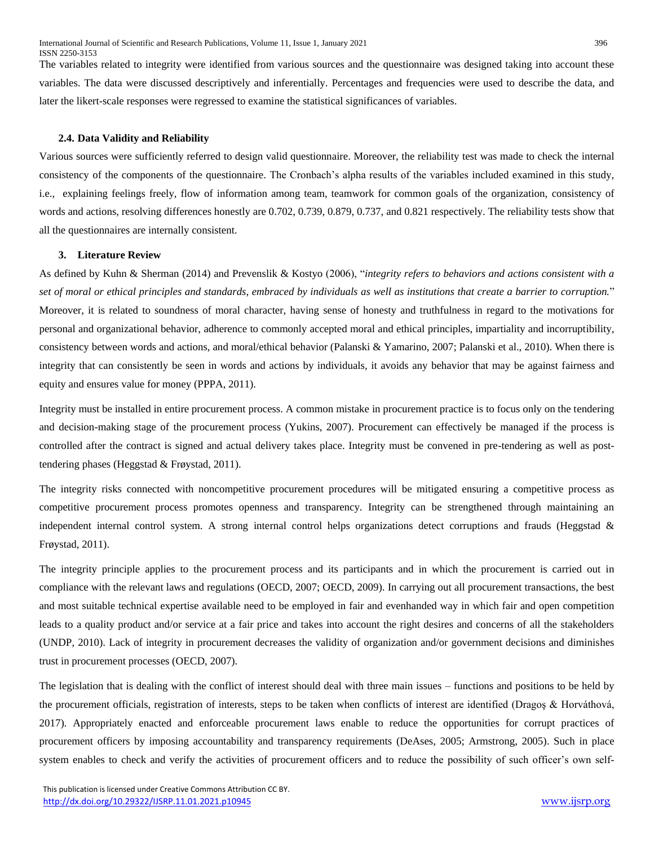The variables related to integrity were identified from various sources and the questionnaire was designed taking into account these variables. The data were discussed descriptively and inferentially. Percentages and frequencies were used to describe the data, and later the likert-scale responses were regressed to examine the statistical significances of variables.

#### **2.4. Data Validity and Reliability**

Various sources were sufficiently referred to design valid questionnaire. Moreover, the reliability test was made to check the internal consistency of the components of the questionnaire. The Cronbach's alpha results of the variables included examined in this study, i.e., explaining feelings freely, flow of information among team, teamwork for common goals of the organization, consistency of words and actions, resolving differences honestly are 0.702, 0.739, 0.879, 0.737, and 0.821 respectively. The reliability tests show that all the questionnaires are internally consistent.

#### **3. Literature Review**

As defined by Kuhn & Sherman (2014) and Prevenslik & Kostyo (2006), "*integrity refers to behaviors and actions consistent with a set of moral or ethical principles and standards, embraced by individuals as well as institutions that create a barrier to corruption.*" Moreover, it is related to soundness of moral character, having sense of honesty and truthfulness in regard to the motivations for personal and organizational behavior, adherence to commonly accepted moral and ethical principles, impartiality and incorruptibility, consistency between words and actions, and moral/ethical behavior (Palanski & Yamarino, 2007; Palanski et al., 2010). When there is integrity that can consistently be seen in words and actions by individuals, it avoids any behavior that may be against fairness and equity and ensures value for money (PPPA, 2011).

Integrity must be installed in entire procurement process. A common mistake in procurement practice is to focus only on the tendering and decision-making stage of the procurement process (Yukins, 2007). Procurement can effectively be managed if the process is controlled after the contract is signed and actual delivery takes place. Integrity must be convened in pre-tendering as well as posttendering phases (Heggstad & Frøystad, 2011).

The integrity risks connected with noncompetitive procurement procedures will be mitigated ensuring a competitive process as competitive procurement process promotes openness and transparency. Integrity can be strengthened through maintaining an independent internal control system. A strong internal control helps organizations detect corruptions and frauds (Heggstad & Frøystad, 2011).

The integrity principle applies to the procurement process and its participants and in which the procurement is carried out in compliance with the relevant laws and regulations (OECD, 2007; OECD, 2009). In carrying out all procurement transactions, the best and most suitable technical expertise available need to be employed in fair and evenhanded way in which fair and open competition leads to a quality product and/or service at a fair price and takes into account the right desires and concerns of all the stakeholders (UNDP, 2010). Lack of integrity in procurement decreases the validity of organization and/or government decisions and diminishes trust in procurement processes (OECD, 2007).

The legislation that is dealing with the conflict of interest should deal with three main issues – functions and positions to be held by the procurement officials, registration of interests, steps to be taken when conflicts of interest are identified (Dragoş & Horváthová, 2017). Appropriately enacted and enforceable procurement laws enable to reduce the opportunities for corrupt practices of procurement officers by imposing accountability and transparency requirements (DeAses, 2005; Armstrong, 2005). Such in place system enables to check and verify the activities of procurement officers and to reduce the possibility of such officer's own self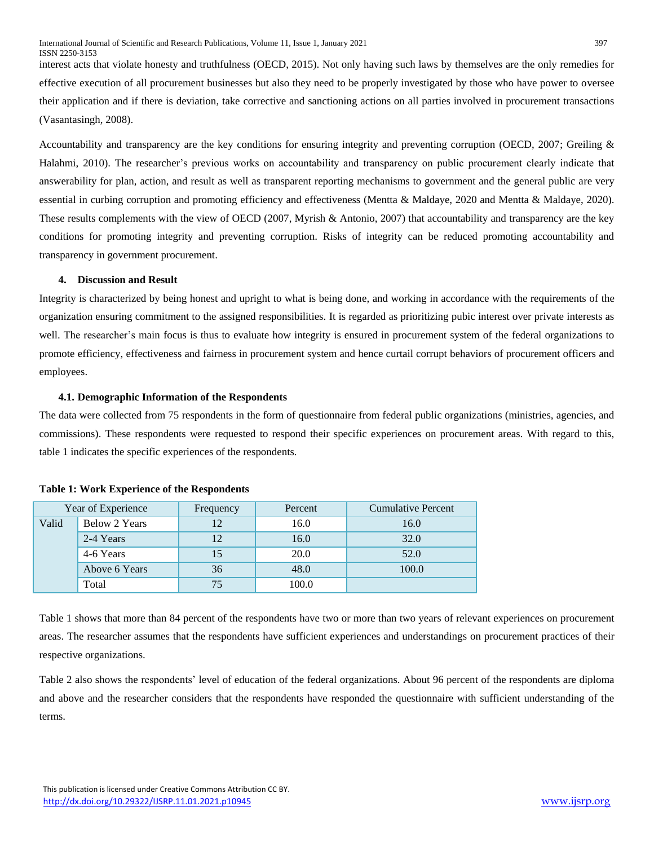interest acts that violate honesty and truthfulness (OECD, 2015). Not only having such laws by themselves are the only remedies for effective execution of all procurement businesses but also they need to be properly investigated by those who have power to oversee their application and if there is deviation, take corrective and sanctioning actions on all parties involved in procurement transactions (Vasantasingh, 2008).

Accountability and transparency are the key conditions for ensuring integrity and preventing corruption (OECD, 2007; Greiling & Halahmi, 2010). The researcher's previous works on accountability and transparency on public procurement clearly indicate that answerability for plan, action, and result as well as transparent reporting mechanisms to government and the general public are very essential in curbing corruption and promoting efficiency and effectiveness (Mentta & Maldaye, 2020 and Mentta & Maldaye, 2020). These results complements with the view of OECD (2007, Myrish & Antonio, 2007) that accountability and transparency are the key conditions for promoting integrity and preventing corruption. Risks of integrity can be reduced promoting accountability and transparency in government procurement.

## **4. Discussion and Result**

Integrity is characterized by being honest and upright to what is being done, and working in accordance with the requirements of the organization ensuring commitment to the assigned responsibilities. It is regarded as prioritizing pubic interest over private interests as well. The researcher's main focus is thus to evaluate how integrity is ensured in procurement system of the federal organizations to promote efficiency, effectiveness and fairness in procurement system and hence curtail corrupt behaviors of procurement officers and employees.

# **4.1. Demographic Information of the Respondents**

The data were collected from 75 respondents in the form of questionnaire from federal public organizations (ministries, agencies, and commissions). These respondents were requested to respond their specific experiences on procurement areas. With regard to this, table 1 indicates the specific experiences of the respondents.

| Year of Experience |               | Frequency | Percent | <b>Cumulative Percent</b> |
|--------------------|---------------|-----------|---------|---------------------------|
| Valid              | Below 2 Years |           | 16.0    | 16.0                      |
|                    | 2-4 Years     |           | 16.0    | 32.0                      |
|                    | 4-6 Years     | 15        | 20.0    | 52.0                      |
|                    | Above 6 Years | 36        | 48.0    | 100.0                     |
|                    | Total         | 75        | 100.0   |                           |

## **Table 1: Work Experience of the Respondents**

Table 1 shows that more than 84 percent of the respondents have two or more than two years of relevant experiences on procurement areas. The researcher assumes that the respondents have sufficient experiences and understandings on procurement practices of their respective organizations.

Table 2 also shows the respondents' level of education of the federal organizations. About 96 percent of the respondents are diploma and above and the researcher considers that the respondents have responded the questionnaire with sufficient understanding of the terms.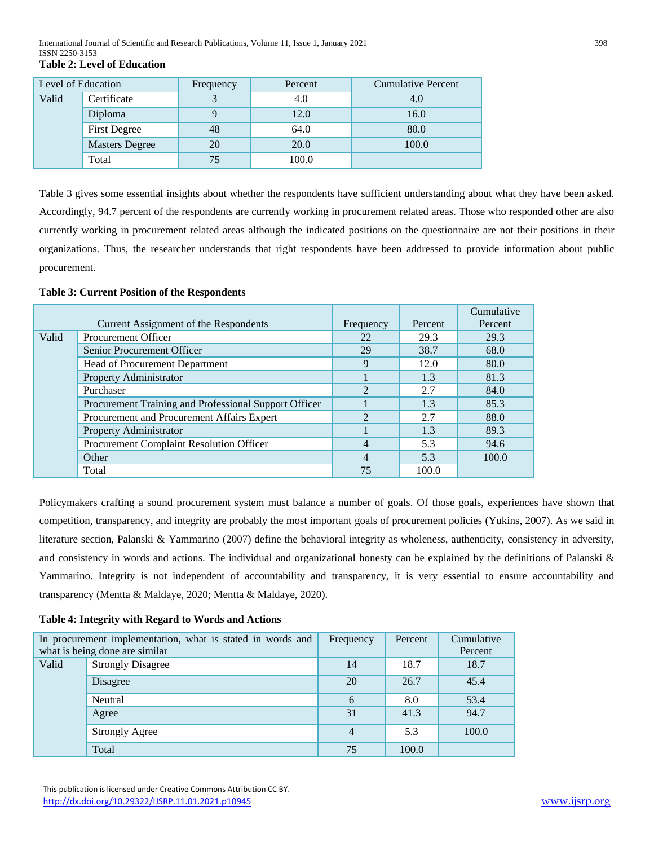International Journal of Scientific and Research Publications, Volume 11, Issue 1, January 2021 398 ISSN 2250-3153 **Table 2: Level of Education** 

| Level of Education |                       | Frequency | Percent | <b>Cumulative Percent</b> |
|--------------------|-----------------------|-----------|---------|---------------------------|
| Valid              | Certificate           |           | 4.0     | 4.0                       |
|                    | Diploma               |           | 12.0    | 16.0                      |
|                    | <b>First Degree</b>   | 48        | 64.0    | 80.0                      |
|                    | <b>Masters Degree</b> | 20        | 20.0    | 100.0                     |
|                    | Total                 | 75        | 100.0   |                           |

Table 3 gives some essential insights about whether the respondents have sufficient understanding about what they have been asked. Accordingly, 94.7 percent of the respondents are currently working in procurement related areas. Those who responded other are also currently working in procurement related areas although the indicated positions on the questionnaire are not their positions in their organizations. Thus, the researcher understands that right respondents have been addressed to provide information about public procurement.

#### **Table 3: Current Position of the Respondents**

|       |                                                       |               |         | Cumulative |
|-------|-------------------------------------------------------|---------------|---------|------------|
|       | Current Assignment of the Respondents                 | Frequency     | Percent | Percent    |
| Valid | <b>Procurement Officer</b>                            | 22            | 29.3    | 29.3       |
|       | Senior Procurement Officer                            | 29            | 38.7    | 68.0       |
|       | Head of Procurement Department                        | 9             | 12.0    | 80.0       |
|       | Property Administrator                                |               | 1.3     | 81.3       |
|       | Purchaser                                             | 2             | 2.7     | 84.0       |
|       | Procurement Training and Professional Support Officer |               | 1.3     | 85.3       |
|       | Procurement and Procurement Affairs Expert            | $\mathcal{L}$ | 2.7     | 88.0       |
|       | Property Administrator                                |               | 1.3     | 89.3       |
|       | Procurement Complaint Resolution Officer              | 4             | 5.3     | 94.6       |
|       | Other                                                 | 4             | 5.3     | 100.0      |
|       | Total                                                 | 75            | 100.0   |            |

Policymakers crafting a sound procurement system must balance a number of goals. Of those goals, experiences have shown that competition, transparency, and integrity are probably the most important goals of procurement policies (Yukins, 2007). As we said in literature section, Palanski & Yammarino (2007) define the behavioral integrity as wholeness, authenticity, consistency in adversity, and consistency in words and actions. The individual and organizational honesty can be explained by the definitions of Palanski & Yammarino. Integrity is not independent of accountability and transparency, it is very essential to ensure accountability and transparency (Mentta & Maldaye, 2020; Mentta & Maldaye, 2020).

## **Table 4: Integrity with Regard to Words and Actions**

|       | In procurement implementation, what is stated in words and<br>what is being done are similar | Frequency | Percent | Cumulative<br>Percent |
|-------|----------------------------------------------------------------------------------------------|-----------|---------|-----------------------|
| Valid | <b>Strongly Disagree</b>                                                                     | 14        | 18.7    | 18.7                  |
|       | Disagree                                                                                     | 20        | 26.7    | 45.4                  |
|       | Neutral                                                                                      | 6         | 8.0     | 53.4                  |
|       | Agree                                                                                        | 31        | 41.3    | 94.7                  |
|       | <b>Strongly Agree</b>                                                                        | 4         | 5.3     | 100.0                 |
|       | Total                                                                                        | 75        | 100.0   |                       |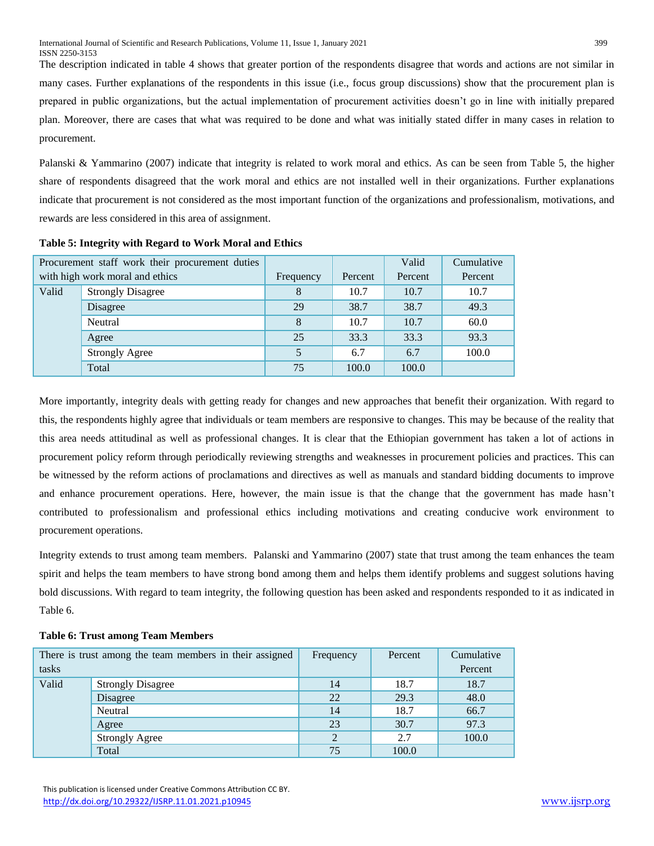The description indicated in table 4 shows that greater portion of the respondents disagree that words and actions are not similar in many cases. Further explanations of the respondents in this issue (i.e., focus group discussions) show that the procurement plan is prepared in public organizations, but the actual implementation of procurement activities doesn't go in line with initially prepared plan. Moreover, there are cases that what was required to be done and what was initially stated differ in many cases in relation to procurement.

Palanski & Yammarino (2007) indicate that integrity is related to work moral and ethics. As can be seen from Table 5, the higher share of respondents disagreed that the work moral and ethics are not installed well in their organizations. Further explanations indicate that procurement is not considered as the most important function of the organizations and professionalism, motivations, and rewards are less considered in this area of assignment.

|       | Procurement staff work their procurement duties |           |         | Valid   | Cumulative |
|-------|-------------------------------------------------|-----------|---------|---------|------------|
|       | with high work moral and ethics                 | Frequency | Percent | Percent | Percent    |
| Valid | <b>Strongly Disagree</b>                        | 8         | 10.7    | 10.7    | 10.7       |
|       | Disagree                                        | 29        | 38.7    | 38.7    | 49.3       |
|       | Neutral                                         | 8         | 10.7    | 10.7    | 60.0       |
|       | Agree                                           | 25        | 33.3    | 33.3    | 93.3       |
|       | <b>Strongly Agree</b>                           | 5         | 6.7     | 6.7     | 100.0      |
|       | Total                                           | 75        | 100.0   | 100.0   |            |

**Table 5: Integrity with Regard to Work Moral and Ethics** 

More importantly, integrity deals with getting ready for changes and new approaches that benefit their organization. With regard to this, the respondents highly agree that individuals or team members are responsive to changes. This may be because of the reality that this area needs attitudinal as well as professional changes. It is clear that the Ethiopian government has taken a lot of actions in procurement policy reform through periodically reviewing strengths and weaknesses in procurement policies and practices. This can be witnessed by the reform actions of proclamations and directives as well as manuals and standard bidding documents to improve and enhance procurement operations. Here, however, the main issue is that the change that the government has made hasn't contributed to professionalism and professional ethics including motivations and creating conducive work environment to procurement operations.

Integrity extends to trust among team members. Palanski and Yammarino (2007) state that trust among the team enhances the team spirit and helps the team members to have strong bond among them and helps them identify problems and suggest solutions having bold discussions. With regard to team integrity, the following question has been asked and respondents responded to it as indicated in Table 6.

| tasks | There is trust among the team members in their assigned | Frequency | Percent | Cumulative<br>Percent |
|-------|---------------------------------------------------------|-----------|---------|-----------------------|
| Valid | <b>Strongly Disagree</b>                                | 14        | 18.7    | 18.7                  |
|       | Disagree                                                | 22        | 29.3    | 48.0                  |
|       | Neutral                                                 |           | 18.7    | 66.7                  |
|       | Agree                                                   | 23        | 30.7    | 97.3                  |
|       | <b>Strongly Agree</b>                                   | 2         | 2.7     | 100.0                 |
|       | Total                                                   | 75        | 100.0   |                       |

#### **Table 6: Trust among Team Members**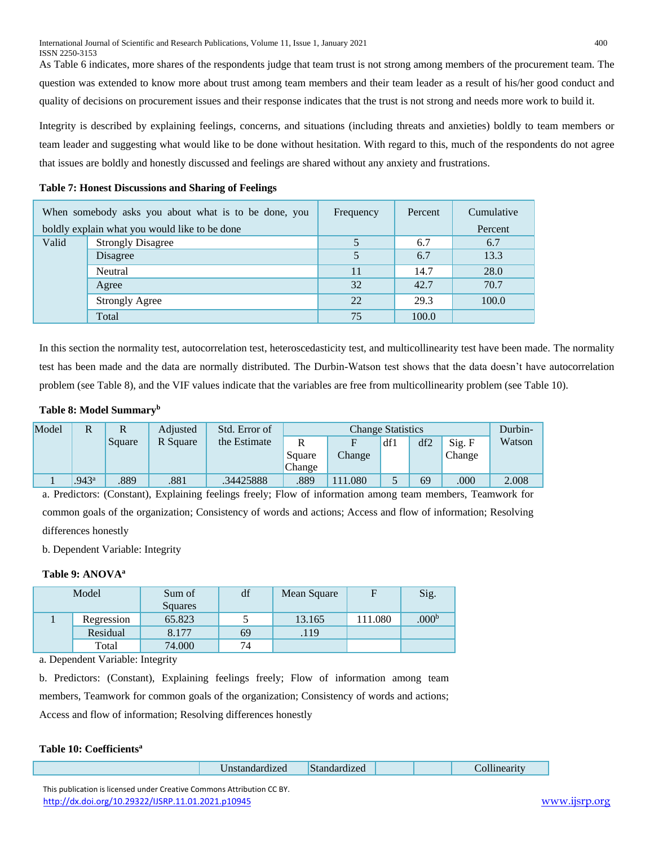As Table 6 indicates, more shares of the respondents judge that team trust is not strong among members of the procurement team. The question was extended to know more about trust among team members and their team leader as a result of his/her good conduct and quality of decisions on procurement issues and their response indicates that the trust is not strong and needs more work to build it.

Integrity is described by explaining feelings, concerns, and situations (including threats and anxieties) boldly to team members or team leader and suggesting what would like to be done without hesitation. With regard to this, much of the respondents do not agree that issues are boldly and honestly discussed and feelings are shared without any anxiety and frustrations.

| <b>Table 7: Honest Discussions and Sharing of Feelings</b> |
|------------------------------------------------------------|
|------------------------------------------------------------|

|       | When somebody asks you about what is to be done, you | Frequency | Percent | Cumulative |
|-------|------------------------------------------------------|-----------|---------|------------|
|       | boldly explain what you would like to be done        |           |         | Percent    |
| Valid | <b>Strongly Disagree</b>                             |           | 6.7     | 6.7        |
|       | Disagree                                             |           | 6.7     | 13.3       |
|       | Neutral                                              | 11        | 14.7    | 28.0       |
|       | Agree                                                | 32        | 42.7    | 70.7       |
|       | <b>Strongly Agree</b>                                | 22        | 29.3    | 100.0      |
|       | Total                                                | 75        | 100.0   |            |

In this section the normality test, autocorrelation test, heteroscedasticity test, and multicollinearity test have been made. The normality test has been made and the data are normally distributed. The Durbin-Watson test shows that the data doesn't have autocorrelation problem (see Table 8), and the VIF values indicate that the variables are free from multicollinearity problem (see Table 10).

# **Table 8: Model Summary<sup>b</sup>**

| Model |                   | Square | Adjusted<br>R Square | Std. Error of<br>the Estimate | Square<br>Change | <b>Change Statistics</b><br>Change | df1 | df2 | Sig. F<br>Change | Durbin-<br>Watson |
|-------|-------------------|--------|----------------------|-------------------------------|------------------|------------------------------------|-----|-----|------------------|-------------------|
|       | .943 <sup>a</sup> | .889   | .881                 | .34425888                     | .889             | 1.080                              |     | 69  | .000             | 2.008             |

a. Predictors: (Constant), Explaining feelings freely; Flow of information among team members, Teamwork for common goals of the organization; Consistency of words and actions; Access and flow of information; Resolving differences honestly

b. Dependent Variable: Integrity

# **Table 9: ANOVA<sup>a</sup>**

| Model |            | Sum of<br>Squares | df | Mean Square |         | Sig.              |
|-------|------------|-------------------|----|-------------|---------|-------------------|
|       | Regression | 65.823            |    | 13.165      | 111.080 | .000 <sup>b</sup> |
|       | Residual   | 8.177             | 69 | .119        |         |                   |
|       | Total      | 74.000            | 74 |             |         |                   |

a. Dependent Variable: Integrity

b. Predictors: (Constant), Explaining feelings freely; Flow of information among team members, Teamwork for common goals of the organization; Consistency of words and actions; Access and flow of information; Resolving differences honestly

# **Table 10: Coefficients<sup>a</sup>**

| $\sim$ $\sim$<br>$\sim$<br>Standardized<br>∪nstandardızed<br>mearit<br>ш |  |
|--------------------------------------------------------------------------|--|
|--------------------------------------------------------------------------|--|

 This publication is licensed under Creative Commons Attribution CC BY. <http://dx.doi.org/10.29322/IJSRP.11.01.2021.p10945> [www.ijsrp.org](http://ijsrp.org/)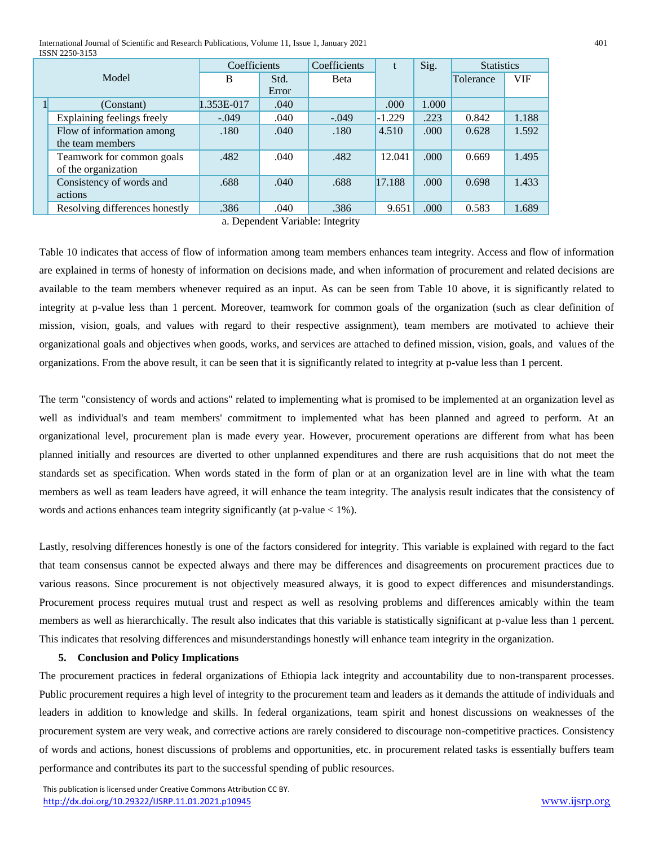International Journal of Scientific and Research Publications, Volume 11, Issue 1, January 2021 401 ISSN 2250-3153

|  |                                | Coefficients |       | Coefficients | t        | Sig.  | <b>Statistics</b> |            |
|--|--------------------------------|--------------|-------|--------------|----------|-------|-------------------|------------|
|  | Model                          | B            | Std.  | <b>B</b> eta |          |       | Tolerance         | <b>VIF</b> |
|  |                                |              | Error |              |          |       |                   |            |
|  | (Constant)                     | 1.353E-017   | .040  |              | .000.    | 1.000 |                   |            |
|  | Explaining feelings freely     | $-.049$      | .040  | $-.049$      | $-1.229$ | .223  | 0.842             | 1.188      |
|  | Flow of information among      | .180         | .040  | .180         | 4.510    | .000. | 0.628             | 1.592      |
|  | the team members               |              |       |              |          |       |                   |            |
|  | Teamwork for common goals      | .482         | .040  | .482         | 12.041   | .000. | 0.669             | 1.495      |
|  | of the organization            |              |       |              |          |       |                   |            |
|  | Consistency of words and       | .688         | .040  | .688         | 17.188   | .000. | 0.698             | 1.433      |
|  | actions                        |              |       |              |          |       |                   |            |
|  | Resolving differences honestly | .386         | .040  | .386         | 9.651    | .000  | 0.583             | 1.689      |

a. Dependent Variable: Integrity

Table 10 indicates that access of flow of information among team members enhances team integrity. Access and flow of information are explained in terms of honesty of information on decisions made, and when information of procurement and related decisions are available to the team members whenever required as an input. As can be seen from Table 10 above, it is significantly related to integrity at p-value less than 1 percent. Moreover, teamwork for common goals of the organization (such as clear definition of mission, vision, goals, and values with regard to their respective assignment), team members are motivated to achieve their organizational goals and objectives when goods, works, and services are attached to defined mission, vision, goals, and values of the organizations. From the above result, it can be seen that it is significantly related to integrity at p-value less than 1 percent.

The term "consistency of words and actions" related to implementing what is promised to be implemented at an organization level as well as individual's and team members' commitment to implemented what has been planned and agreed to perform. At an organizational level, procurement plan is made every year. However, procurement operations are different from what has been planned initially and resources are diverted to other unplanned expenditures and there are rush acquisitions that do not meet the standards set as specification. When words stated in the form of plan or at an organization level are in line with what the team members as well as team leaders have agreed, it will enhance the team integrity. The analysis result indicates that the consistency of words and actions enhances team integrity significantly (at p-value < 1%).

Lastly, resolving differences honestly is one of the factors considered for integrity. This variable is explained with regard to the fact that team consensus cannot be expected always and there may be differences and disagreements on procurement practices due to various reasons. Since procurement is not objectively measured always, it is good to expect differences and misunderstandings. Procurement process requires mutual trust and respect as well as resolving problems and differences amicably within the team members as well as hierarchically. The result also indicates that this variable is statistically significant at p-value less than 1 percent. This indicates that resolving differences and misunderstandings honestly will enhance team integrity in the organization.

# **5. Conclusion and Policy Implications**

The procurement practices in federal organizations of Ethiopia lack integrity and accountability due to non-transparent processes. Public procurement requires a high level of integrity to the procurement team and leaders as it demands the attitude of individuals and leaders in addition to knowledge and skills. In federal organizations, team spirit and honest discussions on weaknesses of the procurement system are very weak, and corrective actions are rarely considered to discourage non-competitive practices. Consistency of words and actions, honest discussions of problems and opportunities, etc. in procurement related tasks is essentially buffers team performance and contributes its part to the successful spending of public resources.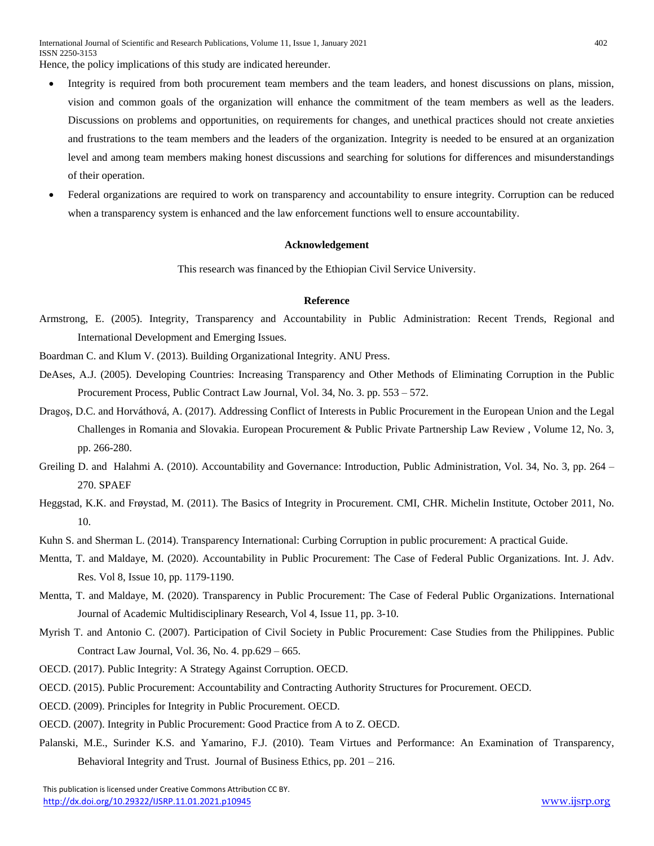- Integrity is required from both procurement team members and the team leaders, and honest discussions on plans, mission, vision and common goals of the organization will enhance the commitment of the team members as well as the leaders. Discussions on problems and opportunities, on requirements for changes, and unethical practices should not create anxieties and frustrations to the team members and the leaders of the organization. Integrity is needed to be ensured at an organization level and among team members making honest discussions and searching for solutions for differences and misunderstandings of their operation.
- Federal organizations are required to work on transparency and accountability to ensure integrity. Corruption can be reduced when a transparency system is enhanced and the law enforcement functions well to ensure accountability.

#### **Acknowledgement**

This research was financed by the Ethiopian Civil Service University.

# **Reference**

Armstrong, E. (2005). Integrity, Transparency and Accountability in Public Administration: Recent Trends, Regional and International Development and Emerging Issues.

Boardman C. and Klum V. (2013). Building Organizational Integrity. ANU Press.

- DeAses, A.J. (2005). Developing Countries: Increasing Transparency and Other Methods of Eliminating Corruption in the Public Procurement Process, Public Contract Law Journal, Vol. 34, No. 3. pp. 553 – 572.
- Dragoş, D.C. and Horváthová, A. (2017). Addressing Conflict of Interests in Public Procurement in the European Union and the Legal Challenges in Romania and Slovakia. European Procurement & Public Private Partnership Law Review , Volume 12, No. 3, pp. 266-280.
- Greiling D. and Halahmi A. (2010). Accountability and Governance: Introduction, Public Administration, Vol. 34, No. 3, pp. 264 270. SPAEF
- Heggstad, K.K. and Frøystad, M. (2011). The Basics of Integrity in Procurement. CMI, CHR. Michelin Institute, October 2011, No. 10.
- Kuhn S. and Sherman L. (2014). Transparency International: Curbing Corruption in public procurement: A practical Guide.
- Mentta, T. and Maldaye, M. (2020). Accountability in Public Procurement: The Case of Federal Public Organizations. Int. J. Adv. Res. Vol 8, Issue 10, pp. 1179-1190.
- Mentta, T. and Maldaye, M. (2020). Transparency in Public Procurement: The Case of Federal Public Organizations. International Journal of Academic Multidisciplinary Research, Vol 4, Issue 11, pp. 3-10.
- Myrish T. and Antonio C. (2007). Participation of Civil Society in Public Procurement: Case Studies from the Philippines. Public Contract Law Journal, Vol. 36, No. 4. pp.629 – 665.
- OECD. (2017). Public Integrity: A Strategy Against Corruption. OECD.
- OECD. (2015). Public Procurement: Accountability and Contracting Authority Structures for Procurement. OECD.
- OECD. (2009). Principles for Integrity in Public Procurement. OECD.
- OECD. (2007). Integrity in Public Procurement: Good Practice from A to Z. OECD.
- Palanski, M.E., Surinder K.S. and Yamarino, F.J. (2010). Team Virtues and Performance: An Examination of Transparency, Behavioral Integrity and Trust. Journal of Business Ethics, pp. 201 – 216.

 This publication is licensed under Creative Commons Attribution CC BY. <http://dx.doi.org/10.29322/IJSRP.11.01.2021.p10945> [www.ijsrp.org](http://ijsrp.org/)